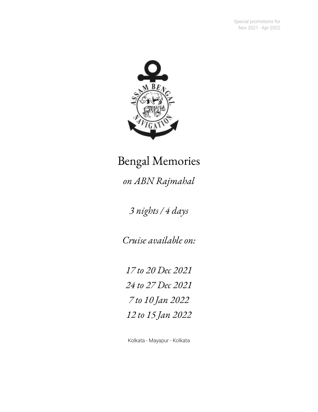

# Bengal Memories

*on ABN Rajmahal*

*3 nights / 4 days*

*Cruise available on:*

 *to 20 Dec 2021 to 27 Dec 2021 to 10 Jan 2022 to 15 Jan 2022*

Kolkata - Mayapur - Kolkata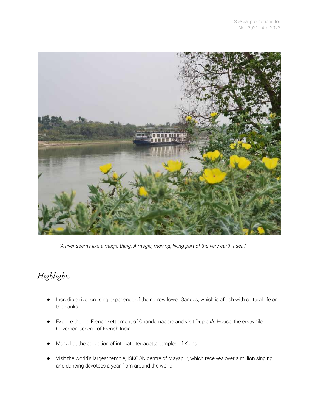

*"A river seems like a magic thing. A magic, moving, living part of the very earth itself."*

## *Highlights*

- Incredible river cruising experience of the narrow lower Ganges, which is aflush with cultural life on the banks
- Explore the old French settlement of Chandernagore and visit Dupleix's House, the erstwhile Governor-General of French India
- Marvel at the collection of intricate terracotta temples of Kalna
- Visit the world's largest temple, ISKCON centre of Mayapur, which receives over a million singing and dancing devotees a year from around the world.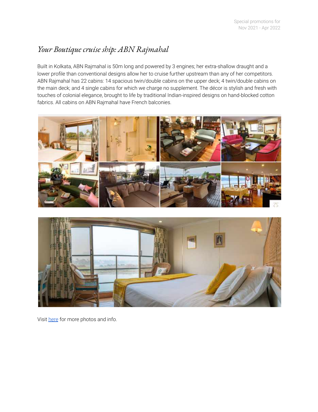## *Your Boutique cruise ship: ABN Rajmahal*

Built in Kolkata, ABN Rajmahal is 50m long and powered by 3 engines; her extra-shallow draught and a lower profile than conventional designs allow her to cruise further upstream than any of her competitors. ABN Rajmahal has 22 cabins: 14 spacious twin/double cabins on the upper deck; 4 twin/double cabins on the main deck; and 4 single cabins for which we charge no supplement. The décor is stylish and fresh with touches of colonial elegance, brought to life by traditional Indian-inspired designs on hand-blocked cotton fabrics. All cabins on ABN Rajmahal have French balconies.





Visit [here](https://www.assambengalnavigation.com/abn-rajmahal) for more photos and info.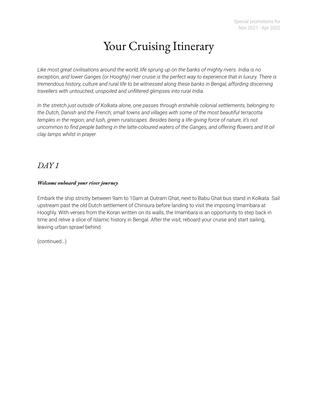## Your Cruising Itinerary

Like most great civilisations around the world, life sprung up on the banks of mighty rivers. India is no exception, and lower Ganges (or Hooghly) river cruise is the perfect way to experience that in luxury. There is *tremendous history, culture and rural life to be witnessed along these banks in Bengal, affording discerning travellers with untouched, unspoiled and unfiltered glimpses into rural India.*

*In the stretch just outside of Kolkata alone, one passes through erstwhile colonial settlements, belonging to the Dutch, Danish and the French; small towns and villages with some of the most beautiful terracotta temples in the region; and lush, green ruralscapes. Besides being a life-giving force of nature, it's not* uncommon to find people bathing in the latte-coloured waters of the Ganges, and offering flowers and lit oil *clay lamps whilst in prayer.*

## *DAY 1*

#### *Welcome onboard your river journey*

Embark the ship strictly between 9am to 10am at Outram Ghat, next to Babu Ghat bus stand in Kolkata. Sail upstream past the old Dutch settlement of Chinsura before landing to visit the imposing Imambara at Hooghly. With verses from the Koran written on its walls, the Imambara is an opportunity to step back in time and relive a slice of Islamic history in Bengal. After the visit, reboard your cruise and start sailing, leaving urban sprawl behind.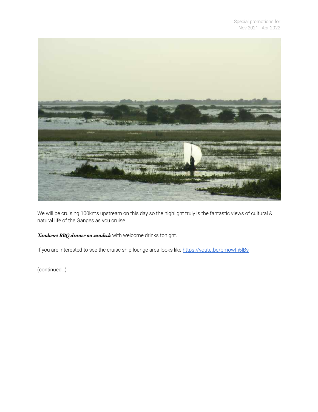

We will be cruising 100kms upstream on this day so the highlight truly is the fantastic views of cultural & natural life of the Ganges as you cruise.

#### *Tandoori BBQ dinner on sundeck* with welcome drinks tonight.

If you are interested to see the cruise ship lounge area looks like https://youtu.be/bmowl-i5lBs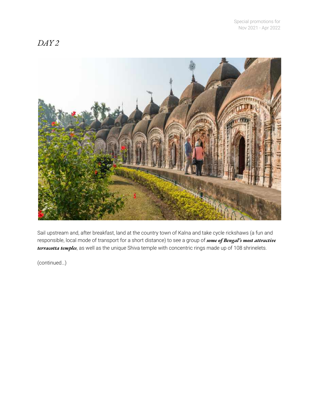## *DAY 2*



Sail upstream and, after breakfast, land at the country town of Kalna and take cycle rickshaws (a fun and responsible, local mode of transport for a short distance) to see a group of *some of Bengal's most attractive terracotta temples*, as well as the unique Shiva temple with concentric rings made up of 108 shrinelets.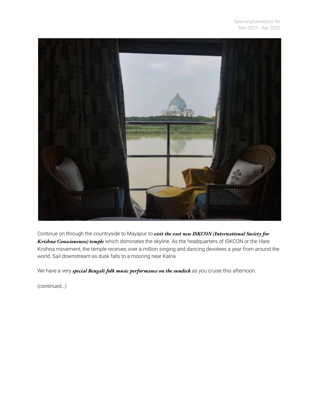

Continue on through the countryside to Mayapur to *visit the vast new ISKCON (International Society for Krishna Consciousness) temple* which dominates the skyline. As the headquarters of ISKCON or the Hare Krishna movement, the temple receives over a million singing and dancing devotees a year from around the world. Sail downstream as dusk falls to a mooring near Kalna.

We have a very *special Bengali folk music performance on the sundeck* as you cruise this afternoon.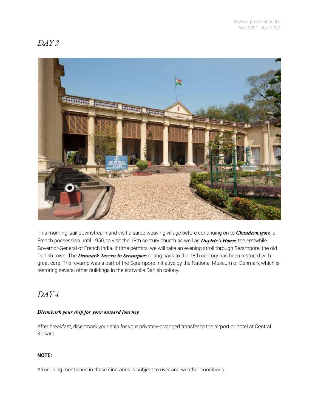## *DAY 3*



This morning, sail downstream and visit a saree-weaving village before continuing on to *Chandernagore*, a French possession until 1950, to visit the 18th century church as well as *Dupleix's House*, the erstwhile Governor-General of French India. If time permits, we will take an evening stroll through Serampore, the old Danish town. The *Denmark Tavern in Serampore* dating back to the 18th century has been restored with great care. The revamp was a part of the Serampore Initiative by the National Museum of Denmark which is restoring several other buildings in the erstwhile Danish colony.

## *DAY 4*

#### *Disembark your ship for your onward journey*

After breakfast, disembark your ship for your privately-arranged transfer to the airport or hotel at Central Kolkata.

#### **NOTE:**

All cruising mentioned in these itineraries is subject to river and weather conditions.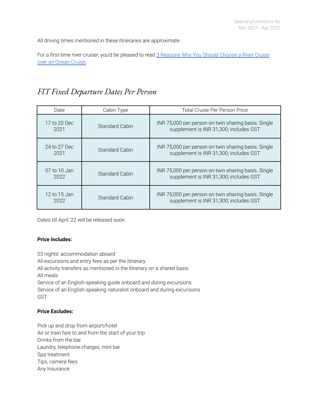All driving times mentioned in these itineraries are approximate.

For a first-time river cruiser, you'd be pleased to read 3 [Reasons](https://www.assambengalnavigation.com/post/3-reasons-why-you-should-choose-a-river-cruise-over-an-ocean-cruise) Why You Should Choose a River Cruise over an Ocean [Cruise.](https://www.assambengalnavigation.com/post/3-reasons-why-you-should-choose-a-river-cruise-over-an-ocean-cruise)

## *FIT Fixed Departure Dates Per Person*

| Date                 | Cabin Type            | <b>Total Cruise Per Person Price</b>                                                          |  |
|----------------------|-----------------------|-----------------------------------------------------------------------------------------------|--|
| 17 to 20 Dec<br>2021 | <b>Standard Cabin</b> | INR 75,000 per person on twin sharing basis. Single<br>supplement is INR 31,300; includes GST |  |
| 24 to 27 Dec<br>2021 | Standard Cabin        | INR 75,000 per person on twin sharing basis. Single<br>supplement is INR 31,300; includes GST |  |
| 07 to 10 Jan<br>2022 | Standard Cabin        | INR 75,000 per person on twin sharing basis. Single<br>supplement is INR 31,300; includes GST |  |
| 12 to 15 Jan<br>2022 | Standard Cabin        | INR 75,000 per person on twin sharing basis. Single<br>supplement is INR 31,300; includes GST |  |

Dates till April '22 will be released soon.

#### **Price Includes:**

03 nights' accommodation aboard All excursions and entry fees as per the itinerary All activity transfers as mentioned in the itinerary on a shared basis All meals Service of an English-speaking guide onboard and during excursions Service of an English-speaking naturalist onboard and during excursions GST

#### **Price Excludes:**

Pick up and drop from airport/hotel Air or train fare to and from the start of your trip Drinks from the bar Laundry, telephone charges, mini bar Spa treatment Tips, camera fees Any Insurance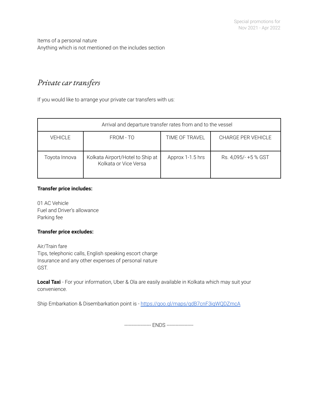Items of a personal nature Anything which is not mentioned on the includes section

## *Private car transfers*

If you would like to arrange your private car transfers with us:

| Arrival and departure transfer rates from and to the vessel |                                                           |                  |                      |  |  |
|-------------------------------------------------------------|-----------------------------------------------------------|------------------|----------------------|--|--|
| <b>VEHICLE</b>                                              | FROM - TO                                                 | TIME OF TRAVEL   | CHARGE PER VEHICLE   |  |  |
| Toyota Innova                                               | Kolkata Airport/Hotel to Ship at<br>Kolkata or Vice Versa | Approx 1-1.5 hrs | Rs. 4,095/- +5 % GST |  |  |

#### **Transfer price includes:**

01 AC Vehicle Fuel and Driver's allowance Parking fee

#### **Transfer price excludes:**

Air/Train fare Tips, telephonic calls, English speaking escort charge Insurance and any other expenses of personal nature GST.

**Local Taxi** - For your information, Uber & Ola are easily available in Kolkata which may suit your convenience.

Ship Embarkation & Disembarkation point is - <https://goo.gl/maps/qdB7cnF3iqWQDZmcA>

------------------ ENDS ------------------